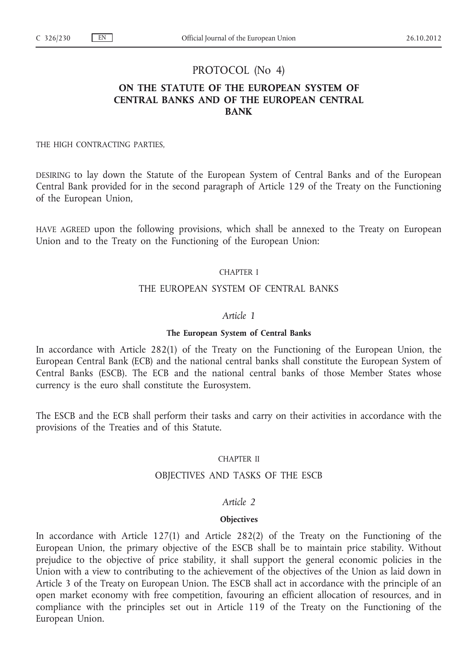# PROTOCOL (No 4)

# **ON THE STATUTE OF THE EUROPEAN SYSTEM OF CENTRAL BANKS AND OF THE EUROPEAN CENTRAL BANK**

THE HIGH CONTRACTING PARTIES,

DESIRING to lay down the Statute of the European System of Central Banks and of the European Central Bank provided for in the second paragraph of Article 129 of the Treaty on the Functioning of the European Union,

HAVE AGREED upon the following provisions, which shall be annexed to the Treaty on European Union and to the Treaty on the Functioning of the European Union:

#### CHAPTER I

#### THE EUROPEAN SYSTEM OF CENTRAL BANKS

#### *Article 1*

#### **The European System of Central Banks**

In accordance with Article 282(1) of the Treaty on the Functioning of the European Union, the European Central Bank (ECB) and the national central banks shall constitute the European System of Central Banks (ESCB). The ECB and the national central banks of those Member States whose currency is the euro shall constitute the Eurosystem.

The ESCB and the ECB shall perform their tasks and carry on their activities in accordance with the provisions of the Treaties and of this Statute.

#### CHAPTER II

### OBJECTIVES AND TASKS OF THE ESCB

## *Article 2*

#### **Objectives**

In accordance with Article 127(1) and Article 282(2) of the Treaty on the Functioning of the European Union, the primary objective of the ESCB shall be to maintain price stability. Without prejudice to the objective of price stability, it shall support the general economic policies in the Union with a view to contributing to the achievement of the objectives of the Union as laid down in Article 3 of the Treaty on European Union. The ESCB shall act in accordance with the principle of an open market economy with free competition, favouring an efficient allocation of resources, and in compliance with the principles set out in Article 119 of the Treaty on the Functioning of the European Union.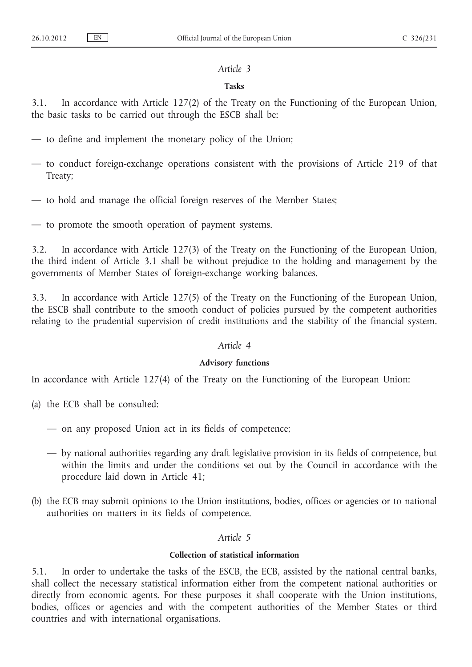## **Tasks**

3.1. In accordance with Article 127(2) of the Treaty on the Functioning of the European Union, the basic tasks to be carried out through the ESCB shall be:

- to define and implement the monetary policy of the Union;
- to conduct foreign-exchange operations consistent with the provisions of Article 219 of that Treaty;
- to hold and manage the official foreign reserves of the Member States;
- to promote the smooth operation of payment systems.

3.2. In accordance with Article 127(3) of the Treaty on the Functioning of the European Union, the third indent of Article 3.1 shall be without prejudice to the holding and management by the governments of Member States of foreign-exchange working balances.

3.3. In accordance with Article 127(5) of the Treaty on the Functioning of the European Union, the ESCB shall contribute to the smooth conduct of policies pursued by the competent authorities relating to the prudential supervision of credit institutions and the stability of the financial system.

## *Article 4*

#### **Advisory functions**

In accordance with Article 127(4) of the Treaty on the Functioning of the European Union:

- (a) the ECB shall be consulted:
	- on any proposed Union act in its fields of competence;
	- by national authorities regarding any draft legislative provision in its fields of competence, but within the limits and under the conditions set out by the Council in accordance with the procedure laid down in Article 41;
- (b) the ECB may submit opinions to the Union institutions, bodies, offices or agencies or to national authorities on matters in its fields of competence.

## *Article 5*

### **Collection of statistical information**

5.1. In order to undertake the tasks of the ESCB, the ECB, assisted by the national central banks, shall collect the necessary statistical information either from the competent national authorities or directly from economic agents. For these purposes it shall cooperate with the Union institutions, bodies, offices or agencies and with the competent authorities of the Member States or third countries and with international organisations.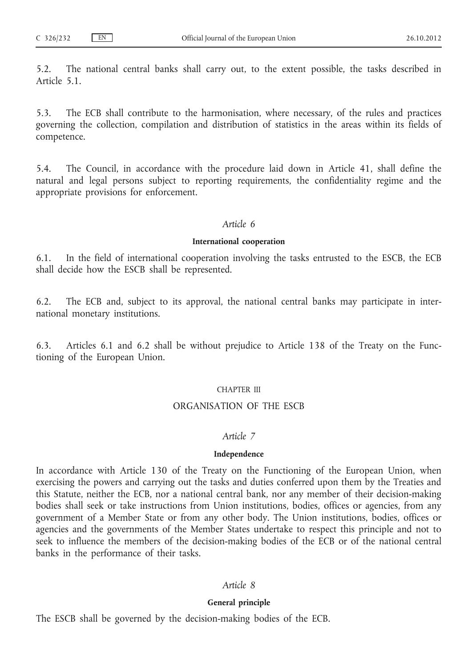5.2. The national central banks shall carry out, to the extent possible, the tasks described in Article 5.1.

5.3. The ECB shall contribute to the harmonisation, where necessary, of the rules and practices governing the collection, compilation and distribution of statistics in the areas within its fields of competence.

5.4. The Council, in accordance with the procedure laid down in Article 41, shall define the natural and legal persons subject to reporting requirements, the confidentiality regime and the appropriate provisions for enforcement.

## *Article 6*

#### **International cooperation**

6.1. In the field of international cooperation involving the tasks entrusted to the ESCB, the ECB shall decide how the ESCB shall be represented.

6.2. The ECB and, subject to its approval, the national central banks may participate in international monetary institutions.

6.3. Articles 6.1 and 6.2 shall be without prejudice to Article 138 of the Treaty on the Functioning of the European Union.

#### CHAPTER III

## ORGANISATION OF THE ESCB

#### *Article 7*

#### **Independence**

In accordance with Article 130 of the Treaty on the Functioning of the European Union, when exercising the powers and carrying out the tasks and duties conferred upon them by the Treaties and this Statute, neither the ECB, nor a national central bank, nor any member of their decision-making bodies shall seek or take instructions from Union institutions, bodies, offices or agencies, from any government of a Member State or from any other body. The Union institutions, bodies, offices or agencies and the governments of the Member States undertake to respect this principle and not to seek to influence the members of the decision-making bodies of the ECB or of the national central banks in the performance of their tasks.

# *Article 8*

# **General principle**

The ESCB shall be governed by the decision-making bodies of the ECB.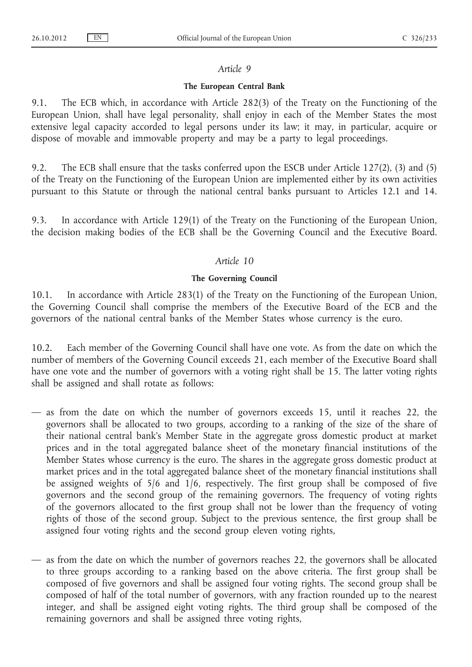#### **The European Central Bank**

9.1. The ECB which, in accordance with Article 282(3) of the Treaty on the Functioning of the European Union, shall have legal personality, shall enjoy in each of the Member States the most extensive legal capacity accorded to legal persons under its law; it may, in particular, acquire or dispose of movable and immovable property and may be a party to legal proceedings.

9.2. The ECB shall ensure that the tasks conferred upon the ESCB under Article 127(2), (3) and (5) of the Treaty on the Functioning of the European Union are implemented either by its own activities pursuant to this Statute or through the national central banks pursuant to Articles 12.1 and 14.

9.3. In accordance with Article 129(1) of the Treaty on the Functioning of the European Union, the decision making bodies of the ECB shall be the Governing Council and the Executive Board.

### *Article 10*

#### **The Governing Council**

10.1. In accordance with Article 283(1) of the Treaty on the Functioning of the European Union, the Governing Council shall comprise the members of the Executive Board of the ECB and the governors of the national central banks of the Member States whose currency is the euro.

10.2. Each member of the Governing Council shall have one vote. As from the date on which the number of members of the Governing Council exceeds 21, each member of the Executive Board shall have one vote and the number of governors with a voting right shall be 15. The latter voting rights shall be assigned and shall rotate as follows:

- as from the date on which the number of governors exceeds 15, until it reaches 22, the governors shall be allocated to two groups, according to a ranking of the size of the share of their national central bank's Member State in the aggregate gross domestic product at market prices and in the total aggregated balance sheet of the monetary financial institutions of the Member States whose currency is the euro. The shares in the aggregate gross domestic product at market prices and in the total aggregated balance sheet of the monetary financial institutions shall be assigned weights of 5/6 and 1/6, respectively. The first group shall be composed of five governors and the second group of the remaining governors. The frequency of voting rights of the governors allocated to the first group shall not be lower than the frequency of voting rights of those of the second group. Subject to the previous sentence, the first group shall be assigned four voting rights and the second group eleven voting rights,
- as from the date on which the number of governors reaches 22, the governors shall be allocated to three groups according to a ranking based on the above criteria. The first group shall be composed of five governors and shall be assigned four voting rights. The second group shall be composed of half of the total number of governors, with any fraction rounded up to the nearest integer, and shall be assigned eight voting rights. The third group shall be composed of the remaining governors and shall be assigned three voting rights,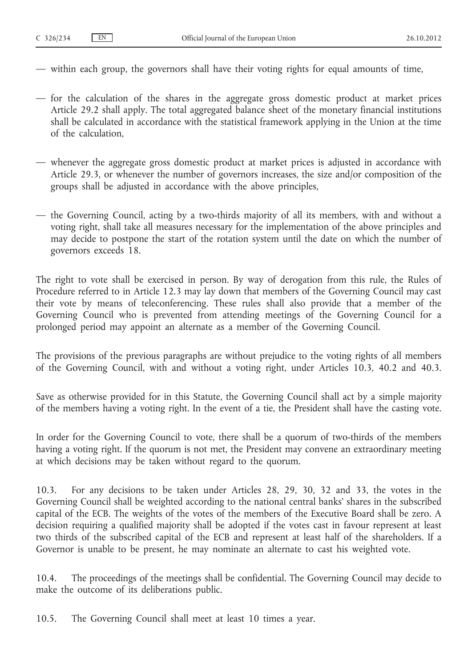- within each group, the governors shall have their voting rights for equal amounts of time,
- for the calculation of the shares in the aggregate gross domestic product at market prices Article 29.2 shall apply. The total aggregated balance sheet of the monetary financial institutions shall be calculated in accordance with the statistical framework applying in the Union at the time of the calculation,
- whenever the aggregate gross domestic product at market prices is adjusted in accordance with Article 29.3, or whenever the number of governors increases, the size and/or composition of the groups shall be adjusted in accordance with the above principles,
- the Governing Council, acting by a two-thirds majority of all its members, with and without a voting right, shall take all measures necessary for the implementation of the above principles and may decide to postpone the start of the rotation system until the date on which the number of governors exceeds 18.

The right to vote shall be exercised in person. By way of derogation from this rule, the Rules of Procedure referred to in Article 12.3 may lay down that members of the Governing Council may cast their vote by means of teleconferencing. These rules shall also provide that a member of the Governing Council who is prevented from attending meetings of the Governing Council for a prolonged period may appoint an alternate as a member of the Governing Council.

The provisions of the previous paragraphs are without prejudice to the voting rights of all members of the Governing Council, with and without a voting right, under Articles 10.3, 40.2 and 40.3.

Save as otherwise provided for in this Statute, the Governing Council shall act by a simple majority of the members having a voting right. In the event of a tie, the President shall have the casting vote.

In order for the Governing Council to vote, there shall be a quorum of two-thirds of the members having a voting right. If the quorum is not met, the President may convene an extraordinary meeting at which decisions may be taken without regard to the quorum.

10.3. For any decisions to be taken under Articles 28, 29, 30, 32 and 33, the votes in the Governing Council shall be weighted according to the national central banks' shares in the subscribed capital of the ECB. The weights of the votes of the members of the Executive Board shall be zero. A decision requiring a qualified majority shall be adopted if the votes cast in favour represent at least two thirds of the subscribed capital of the ECB and represent at least half of the shareholders. If a Governor is unable to be present, he may nominate an alternate to cast his weighted vote.

10.4. The proceedings of the meetings shall be confidential. The Governing Council may decide to make the outcome of its deliberations public.

10.5. The Governing Council shall meet at least 10 times a year.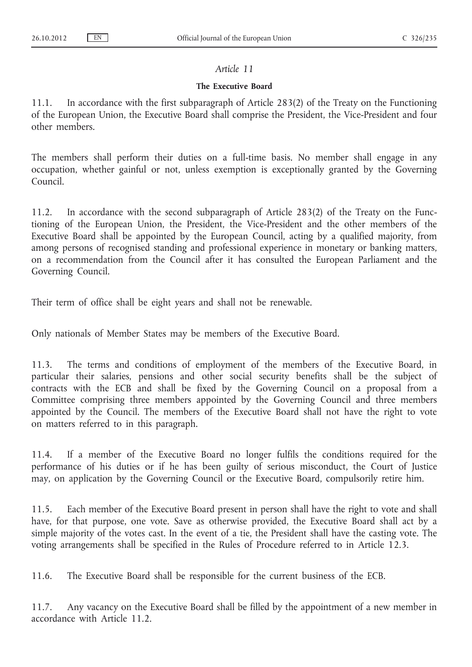### **The Executive Board**

11.1. In accordance with the first subparagraph of Article 283(2) of the Treaty on the Functioning of the European Union, the Executive Board shall comprise the President, the Vice-President and four other members.

The members shall perform their duties on a full-time basis. No member shall engage in any occupation, whether gainful or not, unless exemption is exceptionally granted by the Governing Council.

11.2. In accordance with the second subparagraph of Article 283(2) of the Treaty on the Functioning of the European Union, the President, the Vice-President and the other members of the Executive Board shall be appointed by the European Council, acting by a qualified majority, from among persons of recognised standing and professional experience in monetary or banking matters, on a recommendation from the Council after it has consulted the European Parliament and the Governing Council.

Their term of office shall be eight years and shall not be renewable.

Only nationals of Member States may be members of the Executive Board.

11.3. The terms and conditions of employment of the members of the Executive Board, in particular their salaries, pensions and other social security benefits shall be the subject of contracts with the ECB and shall be fixed by the Governing Council on a proposal from a Committee comprising three members appointed by the Governing Council and three members appointed by the Council. The members of the Executive Board shall not have the right to vote on matters referred to in this paragraph.

11.4. If a member of the Executive Board no longer fulfils the conditions required for the performance of his duties or if he has been guilty of serious misconduct, the Court of Justice may, on application by the Governing Council or the Executive Board, compulsorily retire him.

11.5. Each member of the Executive Board present in person shall have the right to vote and shall have, for that purpose, one vote. Save as otherwise provided, the Executive Board shall act by a simple majority of the votes cast. In the event of a tie, the President shall have the casting vote. The voting arrangements shall be specified in the Rules of Procedure referred to in Article 12.3.

11.6. The Executive Board shall be responsible for the current business of the ECB.

11.7. Any vacancy on the Executive Board shall be filled by the appointment of a new member in accordance with Article 11.2.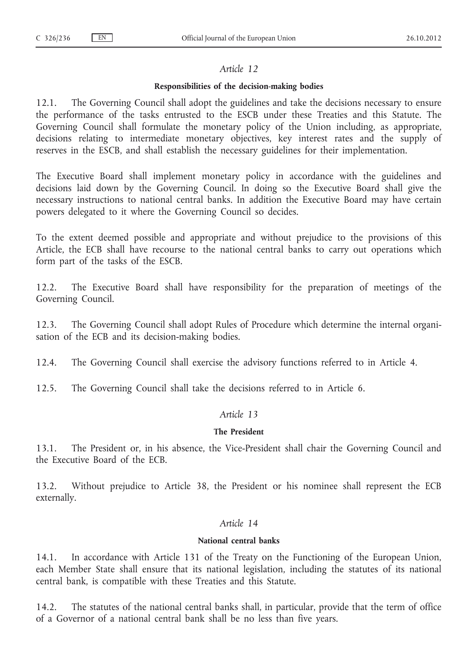## **Responsibilities of the decision-making bodies**

12.1. The Governing Council shall adopt the guidelines and take the decisions necessary to ensure the performance of the tasks entrusted to the ESCB under these Treaties and this Statute. The Governing Council shall formulate the monetary policy of the Union including, as appropriate, decisions relating to intermediate monetary objectives, key interest rates and the supply of reserves in the ESCB, and shall establish the necessary guidelines for their implementation.

The Executive Board shall implement monetary policy in accordance with the guidelines and decisions laid down by the Governing Council. In doing so the Executive Board shall give the necessary instructions to national central banks. In addition the Executive Board may have certain powers delegated to it where the Governing Council so decides.

To the extent deemed possible and appropriate and without prejudice to the provisions of this Article, the ECB shall have recourse to the national central banks to carry out operations which form part of the tasks of the ESCB.

12.2. The Executive Board shall have responsibility for the preparation of meetings of the Governing Council.

12.3. The Governing Council shall adopt Rules of Procedure which determine the internal organisation of the ECB and its decision-making bodies.

12.4. The Governing Council shall exercise the advisory functions referred to in Article 4.

12.5. The Governing Council shall take the decisions referred to in Article 6.

# *Article 13*

### **The President**

13.1. The President or, in his absence, the Vice-President shall chair the Governing Council and the Executive Board of the ECB.

13.2. Without prejudice to Article 38, the President or his nominee shall represent the ECB externally.

# *Article 14*

## **National central banks**

14.1. In accordance with Article 131 of the Treaty on the Functioning of the European Union, each Member State shall ensure that its national legislation, including the statutes of its national central bank, is compatible with these Treaties and this Statute.

14.2. The statutes of the national central banks shall, in particular, provide that the term of office of a Governor of a national central bank shall be no less than five years.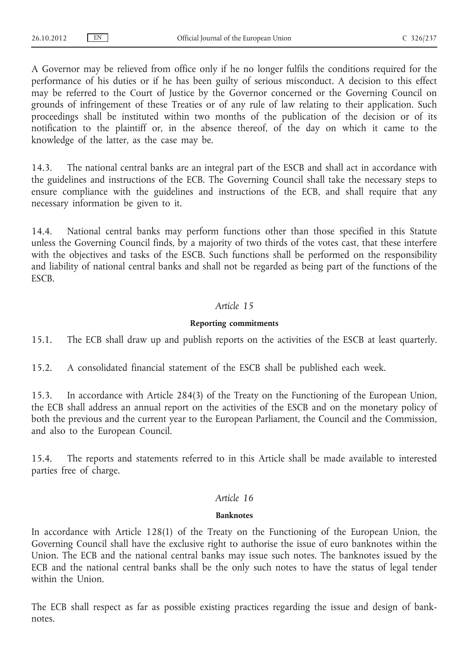A Governor may be relieved from office only if he no longer fulfils the conditions required for the performance of his duties or if he has been guilty of serious misconduct. A decision to this effect may be referred to the Court of Justice by the Governor concerned or the Governing Council on grounds of infringement of these Treaties or of any rule of law relating to their application. Such proceedings shall be instituted within two months of the publication of the decision or of its notification to the plaintiff or, in the absence thereof, of the day on which it came to the knowledge of the latter, as the case may be.

14.3. The national central banks are an integral part of the ESCB and shall act in accordance with the guidelines and instructions of the ECB. The Governing Council shall take the necessary steps to ensure compliance with the guidelines and instructions of the ECB, and shall require that any necessary information be given to it.

14.4. National central banks may perform functions other than those specified in this Statute unless the Governing Council finds, by a majority of two thirds of the votes cast, that these interfere with the objectives and tasks of the ESCB. Such functions shall be performed on the responsibility and liability of national central banks and shall not be regarded as being part of the functions of the ESCB.

## *Article 15*

#### **Reporting commitments**

15.1. The ECB shall draw up and publish reports on the activities of the ESCB at least quarterly.

15.2. A consolidated financial statement of the ESCB shall be published each week.

15.3. In accordance with Article 284(3) of the Treaty on the Functioning of the European Union, the ECB shall address an annual report on the activities of the ESCB and on the monetary policy of both the previous and the current year to the European Parliament, the Council and the Commission, and also to the European Council.

15.4. The reports and statements referred to in this Article shall be made available to interested parties free of charge.

## *Article 16*

#### **Banknotes**

In accordance with Article 128(1) of the Treaty on the Functioning of the European Union, the Governing Council shall have the exclusive right to authorise the issue of euro banknotes within the Union. The ECB and the national central banks may issue such notes. The banknotes issued by the ECB and the national central banks shall be the only such notes to have the status of legal tender within the Union.

The ECB shall respect as far as possible existing practices regarding the issue and design of banknotes.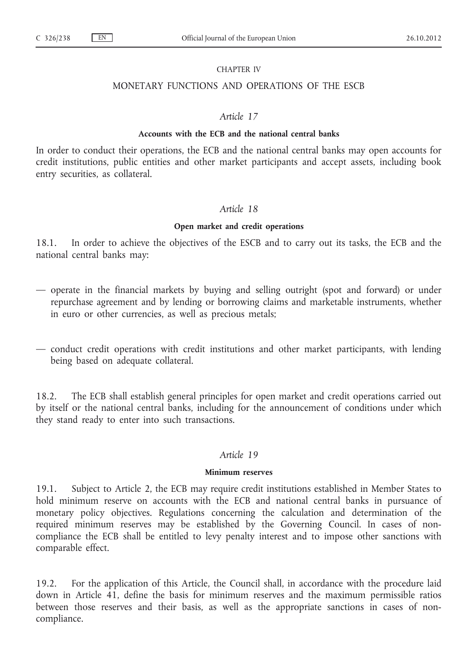#### CHAPTER IV

# MONETARY FUNCTIONS AND OPERATIONS OF THE ESCB

### *Article 17*

### **Accounts with the ECB and the national central banks**

In order to conduct their operations, the ECB and the national central banks may open accounts for credit institutions, public entities and other market participants and accept assets, including book entry securities, as collateral.

#### *Article 18*

### **Open market and credit operations**

18.1. In order to achieve the objectives of the ESCB and to carry out its tasks, the ECB and the national central banks may:

- operate in the financial markets by buying and selling outright (spot and forward) or under repurchase agreement and by lending or borrowing claims and marketable instruments, whether in euro or other currencies, as well as precious metals;
- conduct credit operations with credit institutions and other market participants, with lending being based on adequate collateral.

18.2. The ECB shall establish general principles for open market and credit operations carried out by itself or the national central banks, including for the announcement of conditions under which they stand ready to enter into such transactions.

## *Article 19*

#### **Minimum reserves**

19.1. Subject to Article 2, the ECB may require credit institutions established in Member States to hold minimum reserve on accounts with the ECB and national central banks in pursuance of monetary policy objectives. Regulations concerning the calculation and determination of the required minimum reserves may be established by the Governing Council. In cases of noncompliance the ECB shall be entitled to levy penalty interest and to impose other sanctions with comparable effect.

19.2. For the application of this Article, the Council shall, in accordance with the procedure laid down in Article 41, define the basis for minimum reserves and the maximum permissible ratios between those reserves and their basis, as well as the appropriate sanctions in cases of noncompliance.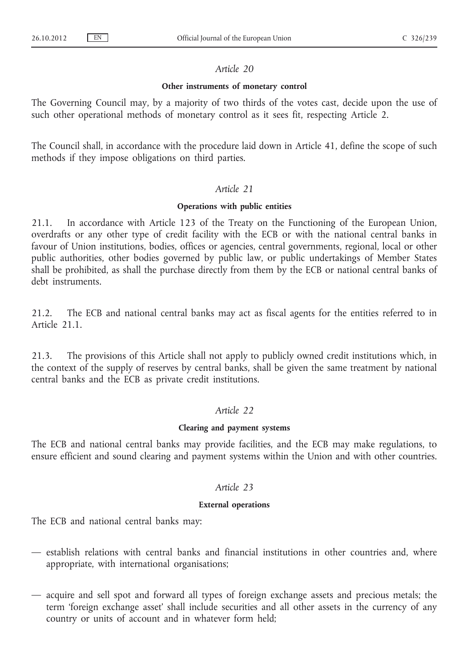### **Other instruments of monetary control**

The Governing Council may, by a majority of two thirds of the votes cast, decide upon the use of such other operational methods of monetary control as it sees fit, respecting Article 2.

The Council shall, in accordance with the procedure laid down in Article 41, define the scope of such methods if they impose obligations on third parties.

## *Article 21*

### **Operations with public entities**

21.1. In accordance with Article 123 of the Treaty on the Functioning of the European Union, overdrafts or any other type of credit facility with the ECB or with the national central banks in favour of Union institutions, bodies, offices or agencies, central governments, regional, local or other public authorities, other bodies governed by public law, or public undertakings of Member States shall be prohibited, as shall the purchase directly from them by the ECB or national central banks of debt instruments.

21.2. The ECB and national central banks may act as fiscal agents for the entities referred to in Article 21.1.

21.3. The provisions of this Article shall not apply to publicly owned credit institutions which, in the context of the supply of reserves by central banks, shall be given the same treatment by national central banks and the ECB as private credit institutions.

# *Article 22*

### **Clearing and payment systems**

The ECB and national central banks may provide facilities, and the ECB may make regulations, to ensure efficient and sound clearing and payment systems within the Union and with other countries.

# *Article 23*

#### **External operations**

The ECB and national central banks may:

- establish relations with central banks and financial institutions in other countries and, where appropriate, with international organisations;
- acquire and sell spot and forward all types of foreign exchange assets and precious metals; the term 'foreign exchange asset' shall include securities and all other assets in the currency of any country or units of account and in whatever form held;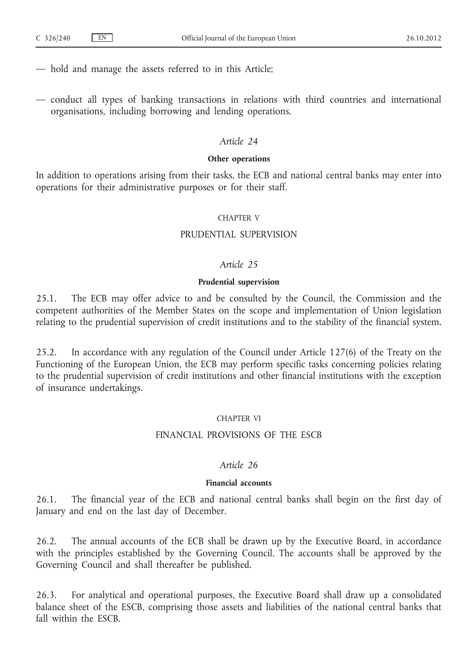- hold and manage the assets referred to in this Article;
- conduct all types of banking transactions in relations with third countries and international organisations, including borrowing and lending operations.

#### **Other operations**

In addition to operations arising from their tasks, the ECB and national central banks may enter into operations for their administrative purposes or for their staff.

#### CHAPTER V

## PRUDENTIAL SUPERVISION

## *Article 25*

#### **Prudential supervision**

25.1. The ECB may offer advice to and be consulted by the Council, the Commission and the competent authorities of the Member States on the scope and implementation of Union legislation relating to the prudential supervision of credit institutions and to the stability of the financial system.

25.2. In accordance with any regulation of the Council under Article 127(6) of the Treaty on the Functioning of the European Union, the ECB may perform specific tasks concerning policies relating to the prudential supervision of credit institutions and other financial institutions with the exception of insurance undertakings.

#### CHAPTER VI

## FINANCIAL PROVISIONS OF THE ESCB

# *Article 26*

### **Financial accounts**

26.1. The financial year of the ECB and national central banks shall begin on the first day of January and end on the last day of December.

26.2. The annual accounts of the ECB shall be drawn up by the Executive Board, in accordance with the principles established by the Governing Council. The accounts shall be approved by the Governing Council and shall thereafter be published.

26.3. For analytical and operational purposes, the Executive Board shall draw up a consolidated balance sheet of the ESCB, comprising those assets and liabilities of the national central banks that fall within the ESCB.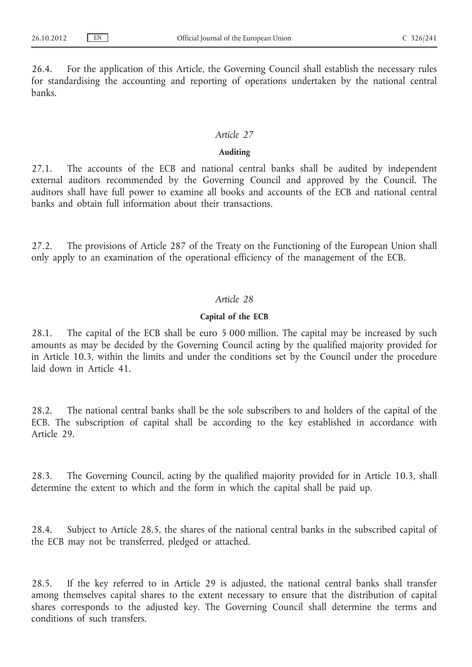26.4. For the application of this Article, the Governing Council shall establish the necessary rules for standardising the accounting and reporting of operations undertaken by the national central banks.

# *Article 27*

## **Auditing**

27.1. The accounts of the ECB and national central banks shall be audited by independent external auditors recommended by the Governing Council and approved by the Council. The auditors shall have full power to examine all books and accounts of the ECB and national central banks and obtain full information about their transactions.

27.2. The provisions of Article 287 of the Treaty on the Functioning of the European Union shall only apply to an examination of the operational efficiency of the management of the ECB.

# *Article 28*

## **Capital of the ECB**

28.1. The capital of the ECB shall be euro 5 000 million. The capital may be increased by such amounts as may be decided by the Governing Council acting by the qualified majority provided for in Article 10.3, within the limits and under the conditions set by the Council under the procedure laid down in Article 41.

28.2. The national central banks shall be the sole subscribers to and holders of the capital of the ECB. The subscription of capital shall be according to the key established in accordance with Article 29.

28.3. The Governing Council, acting by the qualified majority provided for in Article 10.3, shall determine the extent to which and the form in which the capital shall be paid up.

28.4. Subject to Article 28.5, the shares of the national central banks in the subscribed capital of the ECB may not be transferred, pledged or attached.

28.5. If the key referred to in Article 29 is adjusted, the national central banks shall transfer among themselves capital shares to the extent necessary to ensure that the distribution of capital shares corresponds to the adjusted key. The Governing Council shall determine the terms and conditions of such transfers.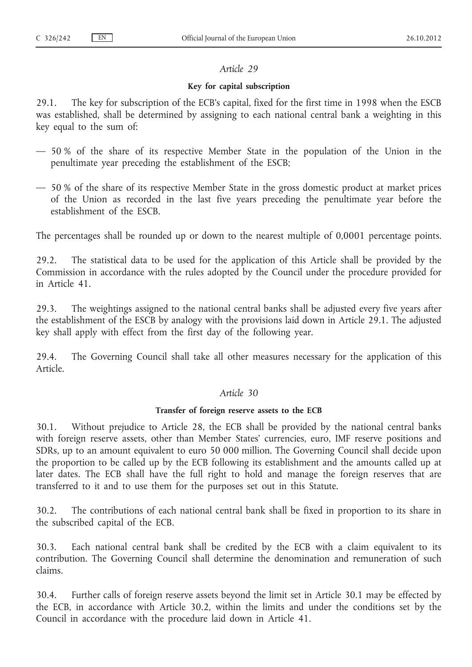## **Key for capital subscription**

29.1. The key for subscription of the ECB's capital, fixed for the first time in 1998 when the ESCB was established, shall be determined by assigning to each national central bank a weighting in this key equal to the sum of:

- 50 % of the share of its respective Member State in the population of the Union in the penultimate year preceding the establishment of the ESCB;
- 50 % of the share of its respective Member State in the gross domestic product at market prices of the Union as recorded in the last five years preceding the penultimate year before the establishment of the ESCB.

The percentages shall be rounded up or down to the nearest multiple of 0,0001 percentage points.

29.2. The statistical data to be used for the application of this Article shall be provided by the Commission in accordance with the rules adopted by the Council under the procedure provided for in Article 41.

29.3. The weightings assigned to the national central banks shall be adjusted every five years after the establishment of the ESCB by analogy with the provisions laid down in Article 29.1. The adjusted key shall apply with effect from the first day of the following year.

29.4. The Governing Council shall take all other measures necessary for the application of this Article.

# *Article 30*

## **Transfer of foreign reserve assets to the ECB**

30.1. Without prejudice to Article 28, the ECB shall be provided by the national central banks with foreign reserve assets, other than Member States' currencies, euro, IMF reserve positions and SDRs, up to an amount equivalent to euro 50 000 million. The Governing Council shall decide upon the proportion to be called up by the ECB following its establishment and the amounts called up at later dates. The ECB shall have the full right to hold and manage the foreign reserves that are transferred to it and to use them for the purposes set out in this Statute.

30.2. The contributions of each national central bank shall be fixed in proportion to its share in the subscribed capital of the ECB.

30.3. Each national central bank shall be credited by the ECB with a claim equivalent to its contribution. The Governing Council shall determine the denomination and remuneration of such claims.

30.4. Further calls of foreign reserve assets beyond the limit set in Article 30.1 may be effected by the ECB, in accordance with Article 30.2, within the limits and under the conditions set by the Council in accordance with the procedure laid down in Article 41.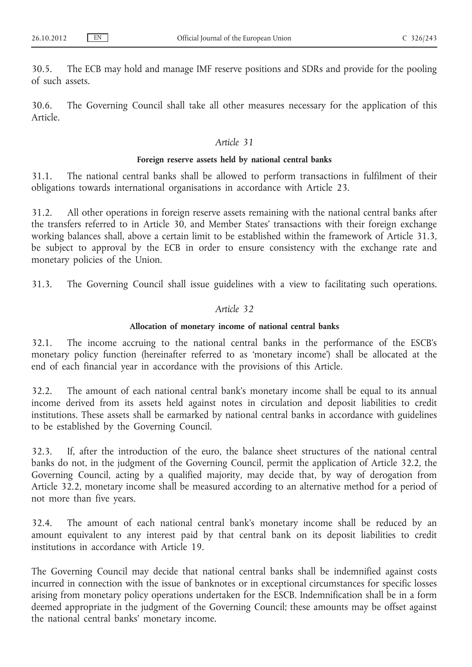30.5. The ECB may hold and manage IMF reserve positions and SDRs and provide for the pooling of such assets.

30.6. The Governing Council shall take all other measures necessary for the application of this Article.

### *Article 31*

#### **Foreign reserve assets held by national central banks**

31.1. The national central banks shall be allowed to perform transactions in fulfilment of their obligations towards international organisations in accordance with Article 23.

31.2. All other operations in foreign reserve assets remaining with the national central banks after the transfers referred to in Article 30, and Member States' transactions with their foreign exchange working balances shall, above a certain limit to be established within the framework of Article 31.3, be subject to approval by the ECB in order to ensure consistency with the exchange rate and monetary policies of the Union.

31.3. The Governing Council shall issue guidelines with a view to facilitating such operations.

## *Article 32*

### **Allocation of monetary income of national central banks**

32.1. The income accruing to the national central banks in the performance of the ESCB's monetary policy function (hereinafter referred to as 'monetary income') shall be allocated at the end of each financial year in accordance with the provisions of this Article.

32.2. The amount of each national central bank's monetary income shall be equal to its annual income derived from its assets held against notes in circulation and deposit liabilities to credit institutions. These assets shall be earmarked by national central banks in accordance with guidelines to be established by the Governing Council.

32.3. If, after the introduction of the euro, the balance sheet structures of the national central banks do not, in the judgment of the Governing Council, permit the application of Article 32.2, the Governing Council, acting by a qualified majority, may decide that, by way of derogation from Article 32.2, monetary income shall be measured according to an alternative method for a period of not more than five years.

32.4. The amount of each national central bank's monetary income shall be reduced by an amount equivalent to any interest paid by that central bank on its deposit liabilities to credit institutions in accordance with Article 19.

The Governing Council may decide that national central banks shall be indemnified against costs incurred in connection with the issue of banknotes or in exceptional circumstances for specific losses arising from monetary policy operations undertaken for the ESCB. Indemnification shall be in a form deemed appropriate in the judgment of the Governing Council; these amounts may be offset against the national central banks' monetary income.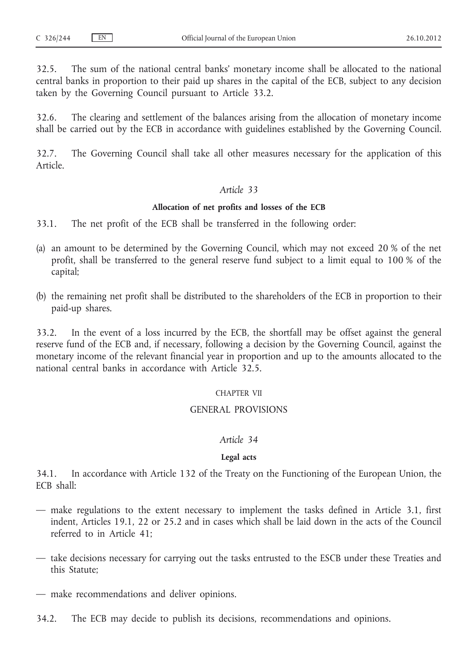32.5. The sum of the national central banks' monetary income shall be allocated to the national central banks in proportion to their paid up shares in the capital of the ECB, subject to any decision taken by the Governing Council pursuant to Article 33.2.

32.6. The clearing and settlement of the balances arising from the allocation of monetary income shall be carried out by the ECB in accordance with guidelines established by the Governing Council.

32.7. The Governing Council shall take all other measures necessary for the application of this Article.

# *Article 33*

### **Allocation of net profits and losses of the ECB**

33.1. The net profit of the ECB shall be transferred in the following order:

- (a) an amount to be determined by the Governing Council, which may not exceed 20 % of the net profit, shall be transferred to the general reserve fund subject to a limit equal to 100 % of the capital;
- (b) the remaining net profit shall be distributed to the shareholders of the ECB in proportion to their paid-up shares.

33.2. In the event of a loss incurred by the ECB, the shortfall may be offset against the general reserve fund of the ECB and, if necessary, following a decision by the Governing Council, against the monetary income of the relevant financial year in proportion and up to the amounts allocated to the national central banks in accordance with Article 32.5.

### CHAPTER VII

### GENERAL PROVISIONS

## *Article 34*

### **Legal acts**

34.1. In accordance with Article 132 of the Treaty on the Functioning of the European Union, the ECB shall:

- make regulations to the extent necessary to implement the tasks defined in Article 3.1, first indent, Articles 19.1, 22 or 25.2 and in cases which shall be laid down in the acts of the Council referred to in Article 41;
- take decisions necessary for carrying out the tasks entrusted to the ESCB under these Treaties and this Statute;
- make recommendations and deliver opinions.
- 34.2. The ECB may decide to publish its decisions, recommendations and opinions.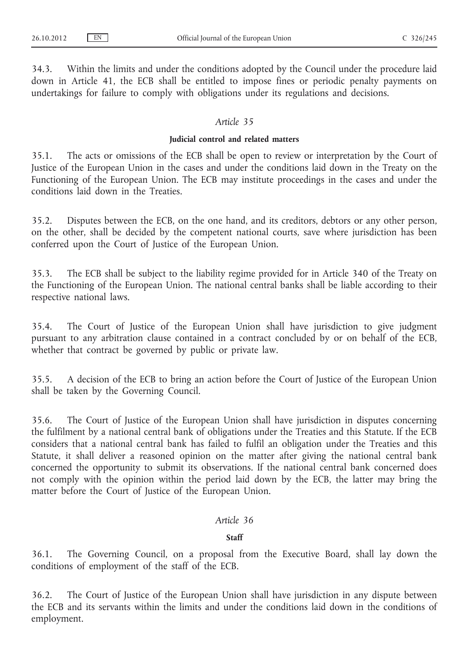34.3. Within the limits and under the conditions adopted by the Council under the procedure laid down in Article 41, the ECB shall be entitled to impose fines or periodic penalty payments on undertakings for failure to comply with obligations under its regulations and decisions.

## *Article 35*

## **Judicial control and related matters**

35.1. The acts or omissions of the ECB shall be open to review or interpretation by the Court of Justice of the European Union in the cases and under the conditions laid down in the Treaty on the Functioning of the European Union. The ECB may institute proceedings in the cases and under the conditions laid down in the Treaties.

35.2. Disputes between the ECB, on the one hand, and its creditors, debtors or any other person, on the other, shall be decided by the competent national courts, save where jurisdiction has been conferred upon the Court of Justice of the European Union.

35.3. The ECB shall be subject to the liability regime provided for in Article 340 of the Treaty on the Functioning of the European Union. The national central banks shall be liable according to their respective national laws.

35.4. The Court of Justice of the European Union shall have jurisdiction to give judgment pursuant to any arbitration clause contained in a contract concluded by or on behalf of the ECB, whether that contract be governed by public or private law.

35.5. A decision of the ECB to bring an action before the Court of Justice of the European Union shall be taken by the Governing Council.

35.6. The Court of Justice of the European Union shall have jurisdiction in disputes concerning the fulfilment by a national central bank of obligations under the Treaties and this Statute. If the ECB considers that a national central bank has failed to fulfil an obligation under the Treaties and this Statute, it shall deliver a reasoned opinion on the matter after giving the national central bank concerned the opportunity to submit its observations. If the national central bank concerned does not comply with the opinion within the period laid down by the ECB, the latter may bring the matter before the Court of Justice of the European Union.

### *Article 36*

#### **Staff**

36.1. The Governing Council, on a proposal from the Executive Board, shall lay down the conditions of employment of the staff of the ECB.

36.2. The Court of Justice of the European Union shall have jurisdiction in any dispute between the ECB and its servants within the limits and under the conditions laid down in the conditions of employment.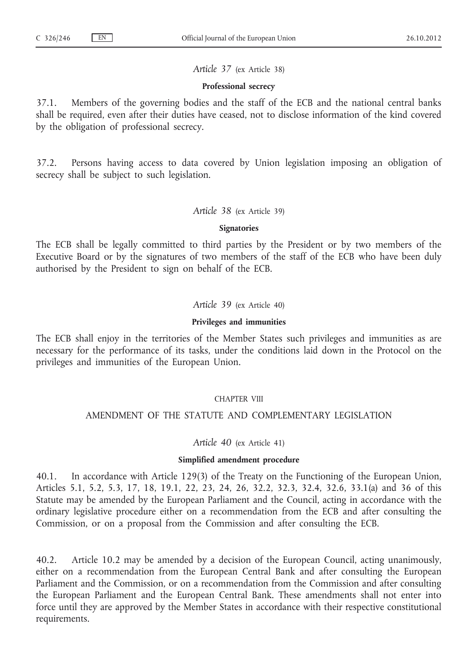*Article 37* (ex Article 38)

#### **Professional secrecy**

37.1. Members of the governing bodies and the staff of the ECB and the national central banks shall be required, even after their duties have ceased, not to disclose information of the kind covered by the obligation of professional secrecy.

37.2. Persons having access to data covered by Union legislation imposing an obligation of secrecy shall be subject to such legislation.

#### *Article 38* (ex Article 39)

#### **Signatories**

The ECB shall be legally committed to third parties by the President or by two members of the Executive Board or by the signatures of two members of the staff of the ECB who have been duly authorised by the President to sign on behalf of the ECB.

*Article 39* (ex Article 40)

#### **Privileges and immunities**

The ECB shall enjoy in the territories of the Member States such privileges and immunities as are necessary for the performance of its tasks, under the conditions laid down in the Protocol on the privileges and immunities of the European Union.

#### CHAPTER VIII

### AMENDMENT OF THE STATUTE AND COMPLEMENTARY LEGISLATION

#### *Article 40* (ex Article 41)

#### **Simplified amendment procedure**

40.1. In accordance with Article 129(3) of the Treaty on the Functioning of the European Union, Articles 5.1, 5.2, 5.3, 17, 18, 19.1, 22, 23, 24, 26, 32.2, 32.3, 32.4, 32.6, 33.1(a) and 36 of this Statute may be amended by the European Parliament and the Council, acting in accordance with the ordinary legislative procedure either on a recommendation from the ECB and after consulting the Commission, or on a proposal from the Commission and after consulting the ECB.

40.2. Article 10.2 may be amended by a decision of the European Council, acting unanimously, either on a recommendation from the European Central Bank and after consulting the European Parliament and the Commission, or on a recommendation from the Commission and after consulting the European Parliament and the European Central Bank. These amendments shall not enter into force until they are approved by the Member States in accordance with their respective constitutional requirements.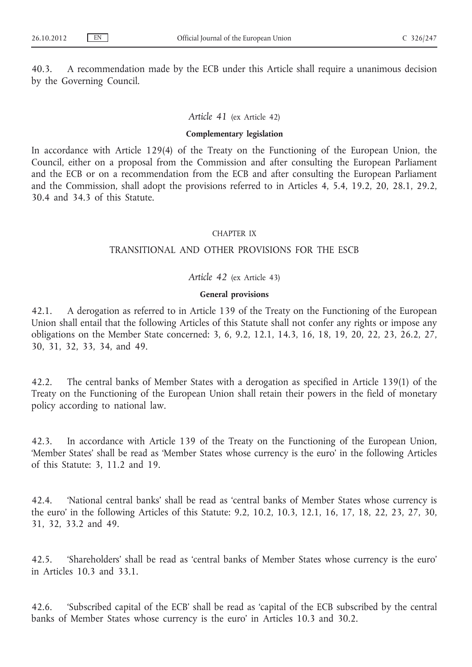40.3. A recommendation made by the ECB under this Article shall require a unanimous decision by the Governing Council.

#### *Article 41* (ex Article 42)

#### **Complementary legislation**

In accordance with Article 129(4) of the Treaty on the Functioning of the European Union, the Council, either on a proposal from the Commission and after consulting the European Parliament and the ECB or on a recommendation from the ECB and after consulting the European Parliament and the Commission, shall adopt the provisions referred to in Articles 4, 5.4, 19.2, 20, 28.1, 29.2, 30.4 and 34.3 of this Statute.

#### CHAPTER IX

## TRANSITIONAL AND OTHER PROVISIONS FOR THE ESCB

### *Article 42* (ex Article 43)

#### **General provisions**

42.1. A derogation as referred to in Article 139 of the Treaty on the Functioning of the European Union shall entail that the following Articles of this Statute shall not confer any rights or impose any obligations on the Member State concerned: 3, 6, 9.2, 12.1, 14.3, 16, 18, 19, 20, 22, 23, 26.2, 27, 30, 31, 32, 33, 34, and 49.

42.2. The central banks of Member States with a derogation as specified in Article 139(1) of the Treaty on the Functioning of the European Union shall retain their powers in the field of monetary policy according to national law.

42.3. In accordance with Article 139 of the Treaty on the Functioning of the European Union, 'Member States' shall be read as 'Member States whose currency is the euro' in the following Articles of this Statute: 3, 11.2 and 19.

42.4. 'National central banks' shall be read as 'central banks of Member States whose currency is the euro' in the following Articles of this Statute: 9.2, 10.2, 10.3, 12.1, 16, 17, 18, 22, 23, 27, 30, 31, 32, 33.2 and 49.

42.5. 'Shareholders' shall be read as 'central banks of Member States whose currency is the euro' in Articles 10.3 and 33.1.

42.6. 'Subscribed capital of the ECB' shall be read as 'capital of the ECB subscribed by the central banks of Member States whose currency is the euro' in Articles 10.3 and 30.2.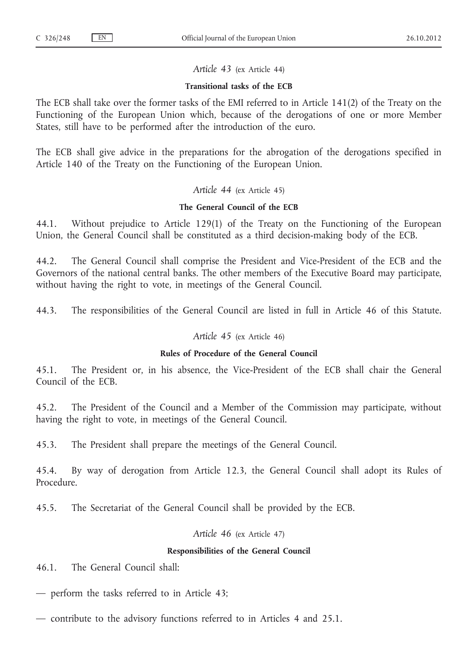*Article 43* (ex Article 44)

### **Transitional tasks of the ECB**

The ECB shall take over the former tasks of the EMI referred to in Article 141(2) of the Treaty on the Functioning of the European Union which, because of the derogations of one or more Member States, still have to be performed after the introduction of the euro.

The ECB shall give advice in the preparations for the abrogation of the derogations specified in Article 140 of the Treaty on the Functioning of the European Union.

*Article 44* (ex Article 45)

### **The General Council of the ECB**

44.1. Without prejudice to Article 129(1) of the Treaty on the Functioning of the European Union, the General Council shall be constituted as a third decision-making body of the ECB.

44.2. The General Council shall comprise the President and Vice-President of the ECB and the Governors of the national central banks. The other members of the Executive Board may participate, without having the right to vote, in meetings of the General Council.

44.3. The responsibilities of the General Council are listed in full in Article 46 of this Statute.

# *Article 45* (ex Article 46)

## **Rules of Procedure of the General Council**

45.1. The President or, in his absence, the Vice-President of the ECB shall chair the General Council of the ECB.

45.2. The President of the Council and a Member of the Commission may participate, without having the right to vote, in meetings of the General Council.

45.3. The President shall prepare the meetings of the General Council.

45.4. By way of derogation from Article 12.3, the General Council shall adopt its Rules of Procedure.

45.5. The Secretariat of the General Council shall be provided by the ECB.

### *Article 46* (ex Article 47)

## **Responsibilities of the General Council**

46.1. The General Council shall:

— perform the tasks referred to in Article 43;

— contribute to the advisory functions referred to in Articles 4 and 25.1.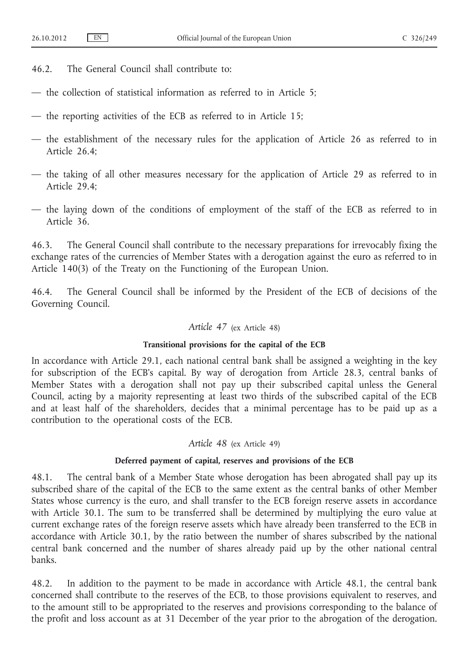- 46.2. The General Council shall contribute to:
- the collection of statistical information as referred to in Article 5;
- the reporting activities of the ECB as referred to in Article 15;
- the establishment of the necessary rules for the application of Article 26 as referred to in Article 26.4;
- the taking of all other measures necessary for the application of Article 29 as referred to in Article 29.4;
- the laying down of the conditions of employment of the staff of the ECB as referred to in Article 36.

46.3. The General Council shall contribute to the necessary preparations for irrevocably fixing the exchange rates of the currencies of Member States with a derogation against the euro as referred to in Article 140(3) of the Treaty on the Functioning of the European Union.

46.4. The General Council shall be informed by the President of the ECB of decisions of the Governing Council.

### *Article 47* (ex Article 48)

#### **Transitional provisions for the capital of the ECB**

In accordance with Article 29.1, each national central bank shall be assigned a weighting in the key for subscription of the ECB's capital. By way of derogation from Article 28.3, central banks of Member States with a derogation shall not pay up their subscribed capital unless the General Council, acting by a majority representing at least two thirds of the subscribed capital of the ECB and at least half of the shareholders, decides that a minimal percentage has to be paid up as a contribution to the operational costs of the ECB.

#### *Article 48* (ex Article 49)

#### **Deferred payment of capital, reserves and provisions of the ECB**

48.1. The central bank of a Member State whose derogation has been abrogated shall pay up its subscribed share of the capital of the ECB to the same extent as the central banks of other Member States whose currency is the euro, and shall transfer to the ECB foreign reserve assets in accordance with Article 30.1. The sum to be transferred shall be determined by multiplying the euro value at current exchange rates of the foreign reserve assets which have already been transferred to the ECB in accordance with Article 30.1, by the ratio between the number of shares subscribed by the national central bank concerned and the number of shares already paid up by the other national central banks.

48.2. In addition to the payment to be made in accordance with Article 48.1, the central bank concerned shall contribute to the reserves of the ECB, to those provisions equivalent to reserves, and to the amount still to be appropriated to the reserves and provisions corresponding to the balance of the profit and loss account as at 31 December of the year prior to the abrogation of the derogation.